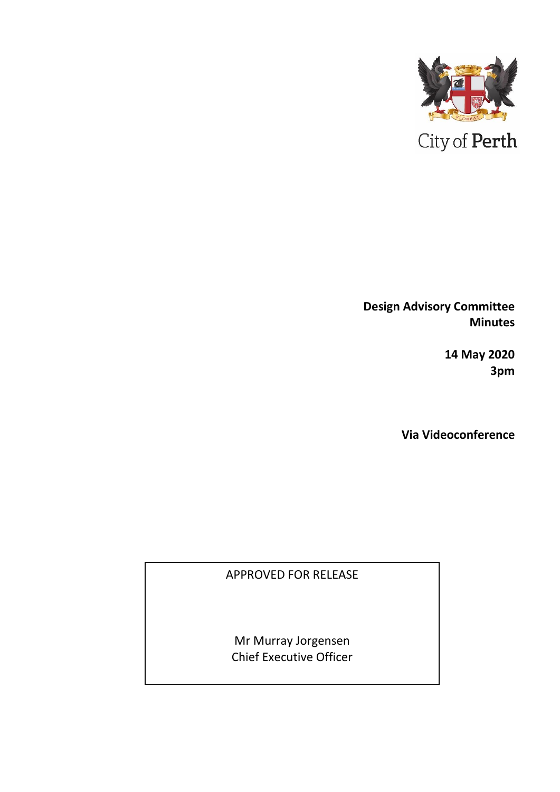

**Design Advisory Committee Minutes**

> **14 May 2020 3pm**

**Via Videoconference**

APPROVED FOR RELEASE

Mr Murray Jorgensen Chief Executive Officer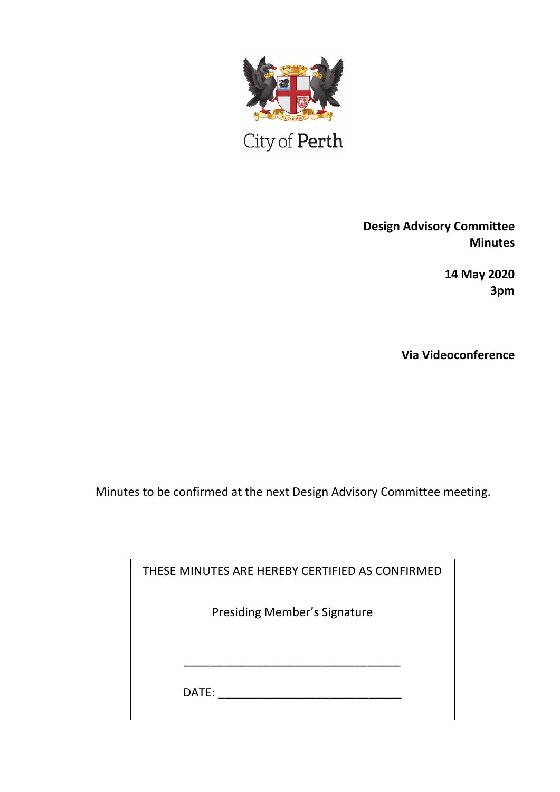

City of Perth

**Design Advisory Committee Minutes**

> **14 May 2020 3pm**

**Via Videoconference**

Minutes to be confirmed at the next Design Advisory Committee meeting.

| THESE MINUTES ARE HEREBY CERTIFIED AS CONFIRMED |  |
|-------------------------------------------------|--|
| <b>Presiding Member's Signature</b>             |  |
|                                                 |  |
|                                                 |  |
| DATE:                                           |  |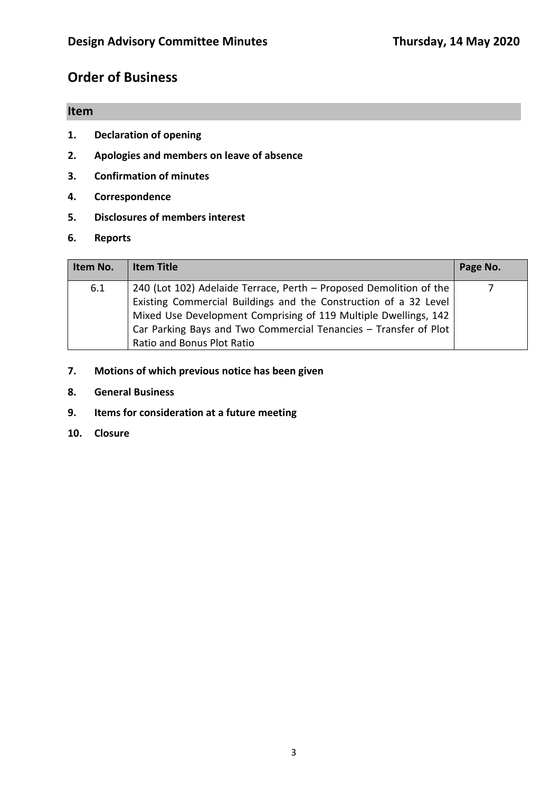# **Order of Business**

# **Item**

- **1. Declaration of opening**
- **2. Apologies and members on leave of absence**
- **3. Confirmation of minutes**
- **4. Correspondence**
- **5. Disclosures of members interest**
- **6. Reports**

| Item No. | <b>Item Title</b>                                                                                                                                                                                                                                                                                           | Page No. |
|----------|-------------------------------------------------------------------------------------------------------------------------------------------------------------------------------------------------------------------------------------------------------------------------------------------------------------|----------|
| 6.1      | 240 (Lot 102) Adelaide Terrace, Perth - Proposed Demolition of the<br>Existing Commercial Buildings and the Construction of a 32 Level<br>Mixed Use Development Comprising of 119 Multiple Dwellings, 142<br>Car Parking Bays and Two Commercial Tenancies - Transfer of Plot<br>Ratio and Bonus Plot Ratio |          |

- **7. Motions of which previous notice has been given**
- **8. General Business**
- **9. Items for consideration at a future meeting**
- **10. Closure**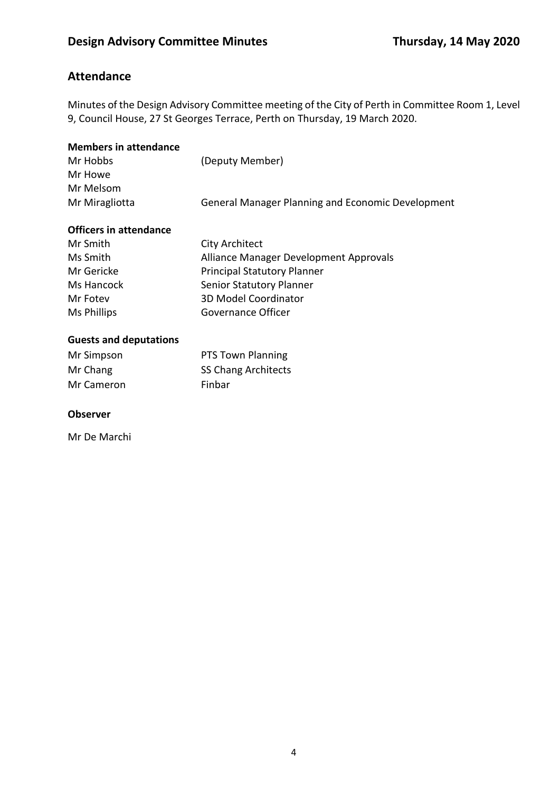# **Attendance**

Minutes of the Design Advisory Committee meeting of the City of Perth in Committee Room 1, Level 9, Council House, 27 St Georges Terrace, Perth on Thursday, 19 March 2020.

| <b>Members in attendance</b>  |                                                   |
|-------------------------------|---------------------------------------------------|
| Mr Hobbs                      | (Deputy Member)                                   |
| Mr Howe                       |                                                   |
| Mr Melsom                     |                                                   |
| Mr Miragliotta                | General Manager Planning and Economic Development |
| <b>Officers in attendance</b> |                                                   |
| Mr Smith                      | <b>City Architect</b>                             |
| Ms Smith                      | Alliance Manager Development Approvals            |
| Mr Gericke                    | <b>Principal Statutory Planner</b>                |
| Ms Hancock                    | Senior Statutory Planner                          |
| Mr Fotev                      | 3D Model Coordinator                              |
| <b>Ms Phillips</b>            | Governance Officer                                |
| <b>Guests and deputations</b> |                                                   |
| Mr Simpson                    | <b>PTS Town Planning</b>                          |
| Mr Chang                      | <b>SS Chang Architects</b>                        |

### **Observer**

Mr De Marchi

Mr Cameron Finbar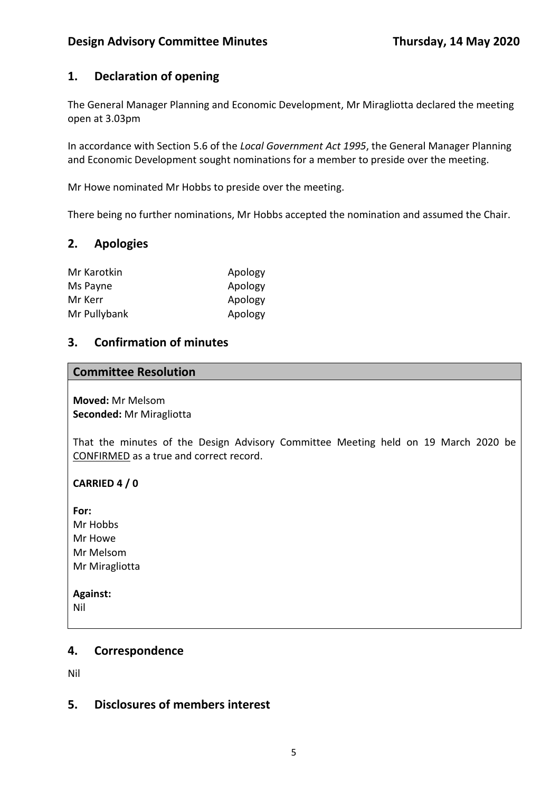# **1. Declaration of opening**

The General Manager Planning and Economic Development, Mr Miragliotta declared the meeting open at 3.03pm

In accordance with Section 5.6 of the *Local Government Act 1995*, the General Manager Planning and Economic Development sought nominations for a member to preside over the meeting.

Mr Howe nominated Mr Hobbs to preside over the meeting.

There being no further nominations, Mr Hobbs accepted the nomination and assumed the Chair.

## **2. Apologies**

| Mr Karotkin  | Apology |
|--------------|---------|
| Ms Payne     | Apology |
| Mr Kerr      | Apology |
| Mr Pullybank | Apology |

## **3. Confirmation of minutes**

#### **Committee Resolution**

**Moved:** Mr Melsom **Seconded:** Mr Miragliotta

That the minutes of the Design Advisory Committee Meeting held on 19 March 2020 be CONFIRMED as a true and correct record.

### **CARRIED 4 / 0**

**For:**  Mr Hobbs Mr Howe Mr Melsom Mr Miragliotta

**Against:**  Nil

### **4. Correspondence**

Nil

### **5. Disclosures of members interest**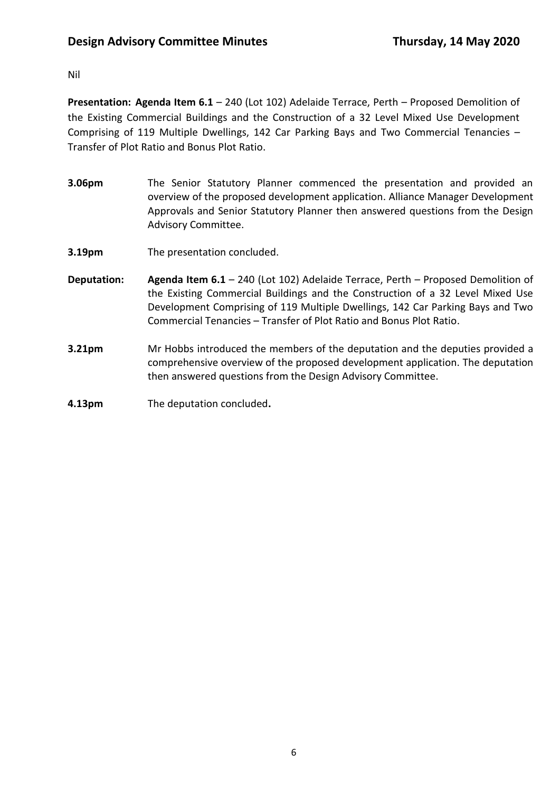## Nil

**Presentation: Agenda Item 6.1** – 240 (Lot 102) Adelaide Terrace, Perth – Proposed Demolition of the Existing Commercial Buildings and the Construction of a 32 Level Mixed Use Development Comprising of 119 Multiple Dwellings, 142 Car Parking Bays and Two Commercial Tenancies – Transfer of Plot Ratio and Bonus Plot Ratio.

- **3.06pm** The Senior Statutory Planner commenced the presentation and provided an overview of the proposed development application. Alliance Manager Development Approvals and Senior Statutory Planner then answered questions from the Design Advisory Committee.
- **3.19pm** The presentation concluded.
- **Deputation: Agenda Item 6.1** 240 (Lot 102) Adelaide Terrace, Perth Proposed Demolition of the Existing Commercial Buildings and the Construction of a 32 Level Mixed Use Development Comprising of 119 Multiple Dwellings, 142 Car Parking Bays and Two Commercial Tenancies – Transfer of Plot Ratio and Bonus Plot Ratio.
- **3.21pm** Mr Hobbs introduced the members of the deputation and the deputies provided a comprehensive overview of the proposed development application. The deputation then answered questions from the Design Advisory Committee.
- **4.13pm** The deputation concluded**.**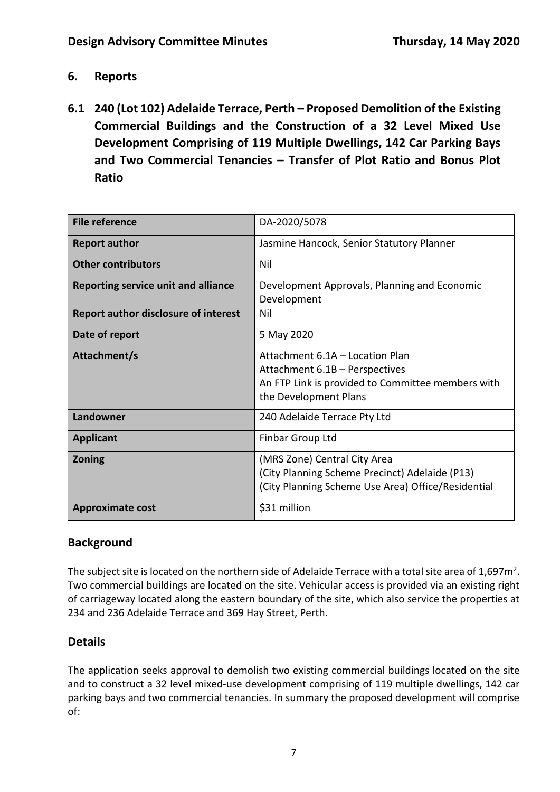- **6. Reports**
- **6.1 240 (Lot 102) Adelaide Terrace, Perth – Proposed Demolition of the Existing Commercial Buildings and the Construction of a 32 Level Mixed Use Development Comprising of 119 Multiple Dwellings, 142 Car Parking Bays and Two Commercial Tenancies – Transfer of Plot Ratio and Bonus Plot Ratio**

| <b>File reference</b>                       | DA-2020/5078                                       |
|---------------------------------------------|----------------------------------------------------|
| <b>Report author</b>                        | Jasmine Hancock, Senior Statutory Planner          |
| <b>Other contributors</b>                   | Nil                                                |
| <b>Reporting service unit and alliance</b>  | Development Approvals, Planning and Economic       |
|                                             | Development                                        |
| <b>Report author disclosure of interest</b> | Nil                                                |
| Date of report                              | 5 May 2020                                         |
| Attachment/s                                | Attachment 6.1A - Location Plan                    |
|                                             | Attachment 6.1B - Perspectives                     |
|                                             | An FTP Link is provided to Committee members with  |
|                                             | the Development Plans                              |
|                                             |                                                    |
| Landowner                                   | 240 Adelaide Terrace Pty Ltd                       |
| <b>Applicant</b>                            | Finbar Group Ltd                                   |
| <b>Zoning</b>                               | (MRS Zone) Central City Area                       |
|                                             | (City Planning Scheme Precinct) Adelaide (P13)     |
|                                             | (City Planning Scheme Use Area) Office/Residential |
| <b>Approximate cost</b>                     | \$31 million                                       |

# **Background**

The subject site is located on the northern side of Adelaide Terrace with a total site area of 1,697 $m^2$ . Two commercial buildings are located on the site. Vehicular access is provided via an existing right of carriageway located along the eastern boundary of the site, which also service the properties at 234 and 236 Adelaide Terrace and 369 Hay Street, Perth.

# **Details**

The application seeks approval to demolish two existing commercial buildings located on the site and to construct a 32 level mixed-use development comprising of 119 multiple dwellings, 142 car parking bays and two commercial tenancies. In summary the proposed development will comprise of: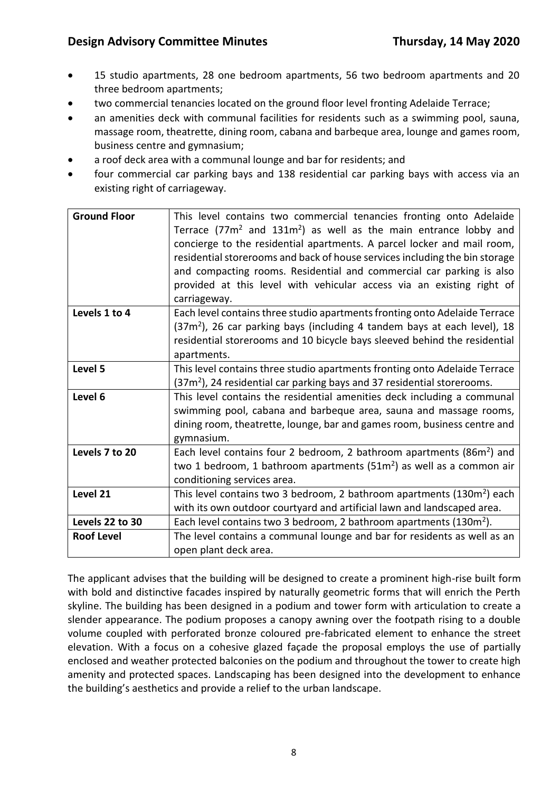- 15 studio apartments, 28 one bedroom apartments, 56 two bedroom apartments and 20 three bedroom apartments;
- two commercial tenancies located on the ground floor level fronting Adelaide Terrace;
- an amenities deck with communal facilities for residents such as a swimming pool, sauna, massage room, theatrette, dining room, cabana and barbeque area, lounge and games room, business centre and gymnasium;
- a roof deck area with a communal lounge and bar for residents; and
- four commercial car parking bays and 138 residential car parking bays with access via an existing right of carriageway.

| <b>Ground Floor</b> | This level contains two commercial tenancies fronting onto Adelaide                  |
|---------------------|--------------------------------------------------------------------------------------|
|                     | Terrace $(77m^2$ and $131m^2$ ) as well as the main entrance lobby and               |
|                     | concierge to the residential apartments. A parcel locker and mail room,              |
|                     | residential storerooms and back of house services including the bin storage          |
|                     | and compacting rooms. Residential and commercial car parking is also                 |
|                     | provided at this level with vehicular access via an existing right of                |
|                     | carriageway.                                                                         |
| Levels 1 to 4       | Each level contains three studio apartments fronting onto Adelaide Terrace           |
|                     | (37m <sup>2</sup> ), 26 car parking bays (including 4 tandem bays at each level), 18 |
|                     | residential storerooms and 10 bicycle bays sleeved behind the residential            |
|                     | apartments.                                                                          |
| Level 5             | This level contains three studio apartments fronting onto Adelaide Terrace           |
|                     | $(37m2)$ , 24 residential car parking bays and 37 residential storerooms.            |
| Level 6             | This level contains the residential amenities deck including a communal              |
|                     | swimming pool, cabana and barbeque area, sauna and massage rooms,                    |
|                     | dining room, theatrette, lounge, bar and games room, business centre and             |
|                     | gymnasium.                                                                           |
| Levels 7 to 20      | Each level contains four 2 bedroom, 2 bathroom apartments (86m <sup>2</sup> ) and    |
|                     | two 1 bedroom, 1 bathroom apartments ( $51m2$ ) as well as a common air              |
|                     | conditioning services area.                                                          |
| Level 21            | This level contains two 3 bedroom, 2 bathroom apartments (130m <sup>2</sup> ) each   |
|                     | with its own outdoor courtyard and artificial lawn and landscaped area.              |
| Levels 22 to 30     | Each level contains two 3 bedroom, 2 bathroom apartments $(130m^2)$ .                |
| <b>Roof Level</b>   | The level contains a communal lounge and bar for residents as well as an             |
|                     | open plant deck area.                                                                |

The applicant advises that the building will be designed to create a prominent high-rise built form with bold and distinctive facades inspired by naturally geometric forms that will enrich the Perth skyline. The building has been designed in a podium and tower form with articulation to create a slender appearance. The podium proposes a canopy awning over the footpath rising to a double volume coupled with perforated bronze coloured pre-fabricated element to enhance the street elevation. With a focus on a cohesive glazed façade the proposal employs the use of partially enclosed and weather protected balconies on the podium and throughout the tower to create high amenity and protected spaces. Landscaping has been designed into the development to enhance the building's aesthetics and provide a relief to the urban landscape.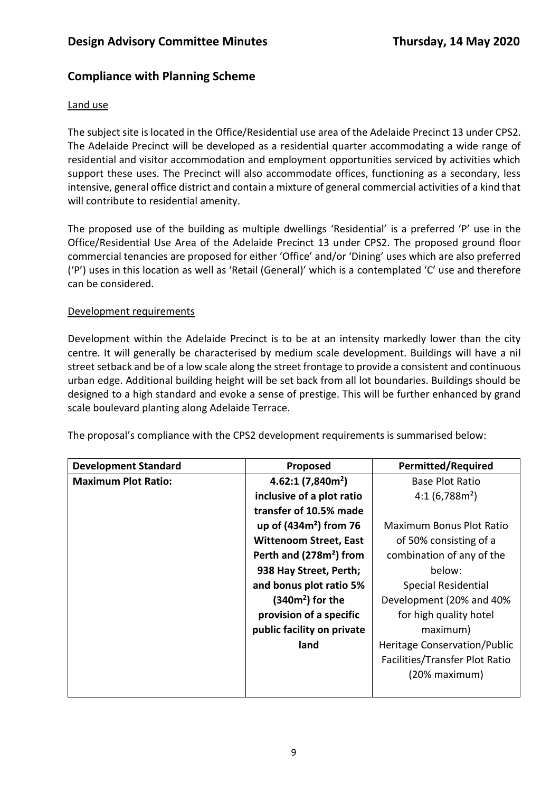# **Compliance with Planning Scheme**

### Land use

The subject site is located in the Office/Residential use area of the Adelaide Precinct 13 under CPS2. The Adelaide Precinct will be developed as a residential quarter accommodating a wide range of residential and visitor accommodation and employment opportunities serviced by activities which support these uses. The Precinct will also accommodate offices, functioning as a secondary, less intensive, general office district and contain a mixture of general commercial activities of a kind that will contribute to residential amenity.

The proposed use of the building as multiple dwellings 'Residential' is a preferred 'P' use in the Office/Residential Use Area of the Adelaide Precinct 13 under CPS2. The proposed ground floor commercial tenancies are proposed for either 'Office' and/or 'Dining' uses which are also preferred ('P') uses in this location as well as 'Retail (General)' which is a contemplated 'C' use and therefore can be considered.

## Development requirements

Development within the Adelaide Precinct is to be at an intensity markedly lower than the city centre. It will generally be characterised by medium scale development. Buildings will have a nil street setback and be of a low scale along the street frontage to provide a consistent and continuous urban edge. Additional building height will be set back from all lot boundaries. Buildings should be designed to a high standard and evoke a sense of prestige. This will be further enhanced by grand scale boulevard planting along Adelaide Terrace.

The proposal's compliance with the CPS2 development requirements is summarised below:

| <b>Development Standard</b> | Proposed                            | <b>Permitted/Required</b>      |
|-----------------------------|-------------------------------------|--------------------------------|
| <b>Maximum Plot Ratio:</b>  | 4.62:1(7,840m <sup>2</sup> )        | <b>Base Plot Ratio</b>         |
|                             | inclusive of a plot ratio           | $4:1(6,788m^2)$                |
|                             | transfer of 10.5% made              |                                |
|                             | up of $(434m2)$ from 76             | Maximum Bonus Plot Ratio       |
|                             | <b>Wittenoom Street, East</b>       | of 50% consisting of a         |
|                             | Perth and (278m <sup>2</sup> ) from | combination of any of the      |
|                             | 938 Hay Street, Perth;              | below:                         |
|                             | and bonus plot ratio 5%             | <b>Special Residential</b>     |
|                             | $(340m2)$ for the                   | Development (20% and 40%       |
|                             | provision of a specific             | for high quality hotel         |
|                             | public facility on private          | maximum)                       |
|                             | land                                | Heritage Conservation/Public   |
|                             |                                     | Facilities/Transfer Plot Ratio |
|                             |                                     | (20% maximum)                  |
|                             |                                     |                                |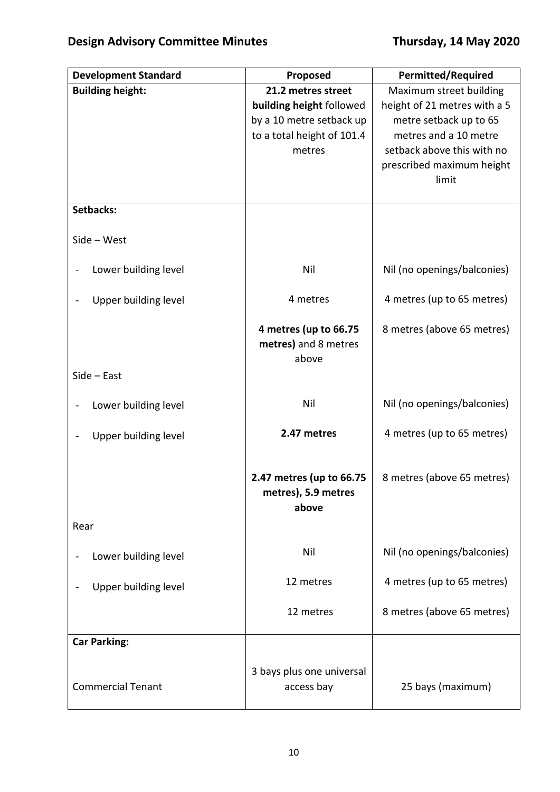| <b>Development Standard</b> | Proposed                   | <b>Permitted/Required</b>    |
|-----------------------------|----------------------------|------------------------------|
| <b>Building height:</b>     | 21.2 metres street         | Maximum street building      |
|                             | building height followed   | height of 21 metres with a 5 |
|                             | by a 10 metre setback up   | metre setback up to 65       |
|                             | to a total height of 101.4 | metres and a 10 metre        |
|                             | metres                     | setback above this with no   |
|                             |                            | prescribed maximum height    |
|                             |                            | limit                        |
|                             |                            |                              |
| Setbacks:                   |                            |                              |
| $Side - West$               |                            |                              |
| Lower building level        | Nil                        | Nil (no openings/balconies)  |
|                             |                            |                              |
| Upper building level        | 4 metres                   | 4 metres (up to 65 metres)   |
|                             | 4 metres (up to 66.75      | 8 metres (above 65 metres)   |
|                             | metres) and 8 metres       |                              |
|                             | above                      |                              |
| $Side - East$               |                            |                              |
| Lower building level        | Nil                        | Nil (no openings/balconies)  |
|                             | 2.47 metres                | 4 metres (up to 65 metres)   |
| Upper building level        |                            |                              |
|                             | 2.47 metres (up to 66.75   | 8 metres (above 65 metres)   |
|                             | metres), 5.9 metres        |                              |
|                             | above                      |                              |
| Rear                        |                            |                              |
| Lower building level        | Nil                        | Nil (no openings/balconies)  |
|                             |                            |                              |
| Upper building level        | 12 metres                  | 4 metres (up to 65 metres)   |
|                             | 12 metres                  | 8 metres (above 65 metres)   |
| <b>Car Parking:</b>         |                            |                              |
|                             |                            |                              |
|                             | 3 bays plus one universal  |                              |
| <b>Commercial Tenant</b>    | access bay                 | 25 bays (maximum)            |
|                             |                            |                              |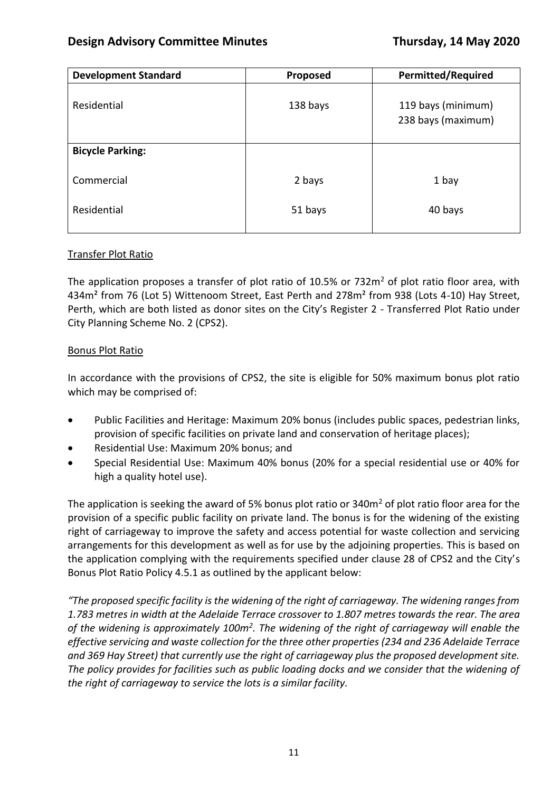| <b>Development Standard</b> | Proposed | <b>Permitted/Required</b>                |
|-----------------------------|----------|------------------------------------------|
| Residential                 | 138 bays | 119 bays (minimum)<br>238 bays (maximum) |
| <b>Bicycle Parking:</b>     |          |                                          |
| Commercial                  | 2 bays   | 1 bay                                    |
| Residential                 | 51 bays  | 40 bays                                  |

### Transfer Plot Ratio

The application proposes a transfer of plot ratio of 10.5% or 732 $m<sup>2</sup>$  of plot ratio floor area, with 434m<sup>2</sup> from 76 (Lot 5) Wittenoom Street, East Perth and 278m<sup>2</sup> from 938 (Lots 4-10) Hay Street, Perth, which are both listed as donor sites on the City's Register 2 - Transferred Plot Ratio under City Planning Scheme No. 2 (CPS2).

### Bonus Plot Ratio

In accordance with the provisions of CPS2, the site is eligible for 50% maximum bonus plot ratio which may be comprised of:

- Public Facilities and Heritage: Maximum 20% bonus (includes public spaces, pedestrian links, provision of specific facilities on private land and conservation of heritage places);
- Residential Use: Maximum 20% bonus; and
- Special Residential Use: Maximum 40% bonus (20% for a special residential use or 40% for high a quality hotel use).

The application is seeking the award of 5% bonus plot ratio or 340m<sup>2</sup> of plot ratio floor area for the provision of a specific public facility on private land. The bonus is for the widening of the existing right of carriageway to improve the safety and access potential for waste collection and servicing arrangements for this development as well as for use by the adjoining properties. This is based on the application complying with the requirements specified under clause 28 of CPS2 and the City's Bonus Plot Ratio Policy 4.5.1 as outlined by the applicant below:

*"The proposed specific facility is the widening of the right of carriageway. The widening ranges from 1.783 metres in width at the Adelaide Terrace crossover to 1.807 metres towards the rear. The area*  of the widening is approximately 100m<sup>2</sup>. The widening of the right of carriageway will enable the *effective servicing and waste collection for the three other properties (234 and 236 Adelaide Terrace and 369 Hay Street) that currently use the right of carriageway plus the proposed development site. The policy provides for facilities such as public loading docks and we consider that the widening of the right of carriageway to service the lots is a similar facility.*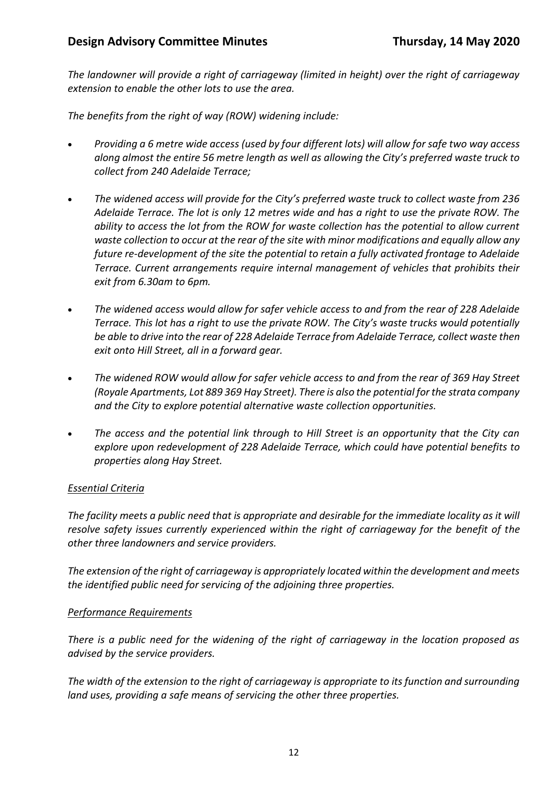*The landowner will provide a right of carriageway (limited in height) over the right of carriageway extension to enable the other lots to use the area.*

*The benefits from the right of way (ROW) widening include:*

- *Providing a 6 metre wide access (used by four different lots) will allow for safe two way access along almost the entire 56 metre length as well as allowing the City's preferred waste truck to collect from 240 Adelaide Terrace;*
- *The widened access will provide for the City's preferred waste truck to collect waste from 236 Adelaide Terrace. The lot is only 12 metres wide and has a right to use the private ROW. The ability to access the lot from the ROW for waste collection has the potential to allow current waste collection to occur at the rear of the site with minor modifications and equally allow any future re-development of the site the potential to retain a fully activated frontage to Adelaide Terrace. Current arrangements require internal management of vehicles that prohibits their exit from 6.30am to 6pm.*
- *The widened access would allow for safer vehicle access to and from the rear of 228 Adelaide Terrace. This lot has a right to use the private ROW. The City's waste trucks would potentially be able to drive into the rear of 228 Adelaide Terrace from Adelaide Terrace, collect waste then exit onto Hill Street, all in a forward gear.*
- *The widened ROW would allow for safer vehicle access to and from the rear of 369 Hay Street (Royale Apartments, Lot 889 369 Hay Street). There is also the potential for the strata company and the City to explore potential alternative waste collection opportunities.*
- *The access and the potential link through to Hill Street is an opportunity that the City can explore upon redevelopment of 228 Adelaide Terrace, which could have potential benefits to properties along Hay Street.*

### *Essential Criteria*

*The facility meets a public need that is appropriate and desirable for the immediate locality as it will resolve safety issues currently experienced within the right of carriageway for the benefit of the other three landowners and service providers.* 

*The extension of the right of carriageway is appropriately located within the development and meets the identified public need for servicing of the adjoining three properties.* 

### *Performance Requirements*

*There is a public need for the widening of the right of carriageway in the location proposed as advised by the service providers.* 

*The width of the extension to the right of carriageway is appropriate to its function and surrounding land uses, providing a safe means of servicing the other three properties.*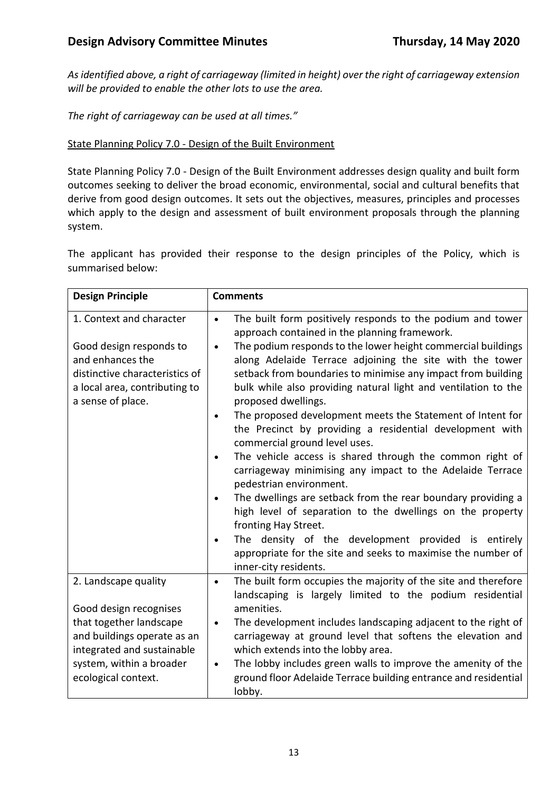*As identified above, a right of carriageway (limited in height) over the right of carriageway extension will be provided to enable the other lots to use the area.* 

*The right of carriageway can be used at all times."*

### State Planning Policy 7.0 - Design of the Built Environment

State Planning Policy 7.0 - Design of the Built Environment addresses design quality and built form outcomes seeking to deliver the broad economic, environmental, social and cultural benefits that derive from good design outcomes. It sets out the objectives, measures, principles and processes which apply to the design and assessment of built environment proposals through the planning system.

The applicant has provided their response to the design principles of the Policy, which is summarised below:

| <b>Design Principle</b>                                                                                                                                         | <b>Comments</b>                                                                                                                                                                                                                                                                                                                                                                                                                                                                                                                                                                                                                                                                                                                                                                                                                                                                                                                                                                                                                                                          |
|-----------------------------------------------------------------------------------------------------------------------------------------------------------------|--------------------------------------------------------------------------------------------------------------------------------------------------------------------------------------------------------------------------------------------------------------------------------------------------------------------------------------------------------------------------------------------------------------------------------------------------------------------------------------------------------------------------------------------------------------------------------------------------------------------------------------------------------------------------------------------------------------------------------------------------------------------------------------------------------------------------------------------------------------------------------------------------------------------------------------------------------------------------------------------------------------------------------------------------------------------------|
| 1. Context and character<br>Good design responds to<br>and enhances the<br>distinctive characteristics of<br>a local area, contributing to<br>a sense of place. | The built form positively responds to the podium and tower<br>$\bullet$<br>approach contained in the planning framework.<br>The podium responds to the lower height commercial buildings<br>$\bullet$<br>along Adelaide Terrace adjoining the site with the tower<br>setback from boundaries to minimise any impact from building<br>bulk while also providing natural light and ventilation to the<br>proposed dwellings.<br>The proposed development meets the Statement of Intent for<br>the Precinct by providing a residential development with<br>commercial ground level uses.<br>The vehicle access is shared through the common right of<br>$\bullet$<br>carriageway minimising any impact to the Adelaide Terrace<br>pedestrian environment.<br>The dwellings are setback from the rear boundary providing a<br>$\bullet$<br>high level of separation to the dwellings on the property<br>fronting Hay Street.<br>The density of the development provided is entirely<br>appropriate for the site and seeks to maximise the number of<br>inner-city residents. |
| 2. Landscape quality<br>Good design recognises                                                                                                                  | The built form occupies the majority of the site and therefore<br>$\bullet$<br>landscaping is largely limited to the podium residential<br>amenities.                                                                                                                                                                                                                                                                                                                                                                                                                                                                                                                                                                                                                                                                                                                                                                                                                                                                                                                    |
| that together landscape<br>and buildings operate as an<br>integrated and sustainable                                                                            | The development includes landscaping adjacent to the right of<br>$\bullet$<br>carriageway at ground level that softens the elevation and<br>which extends into the lobby area.                                                                                                                                                                                                                                                                                                                                                                                                                                                                                                                                                                                                                                                                                                                                                                                                                                                                                           |
| system, within a broader<br>ecological context.                                                                                                                 | The lobby includes green walls to improve the amenity of the<br>$\bullet$<br>ground floor Adelaide Terrace building entrance and residential<br>lobby.                                                                                                                                                                                                                                                                                                                                                                                                                                                                                                                                                                                                                                                                                                                                                                                                                                                                                                                   |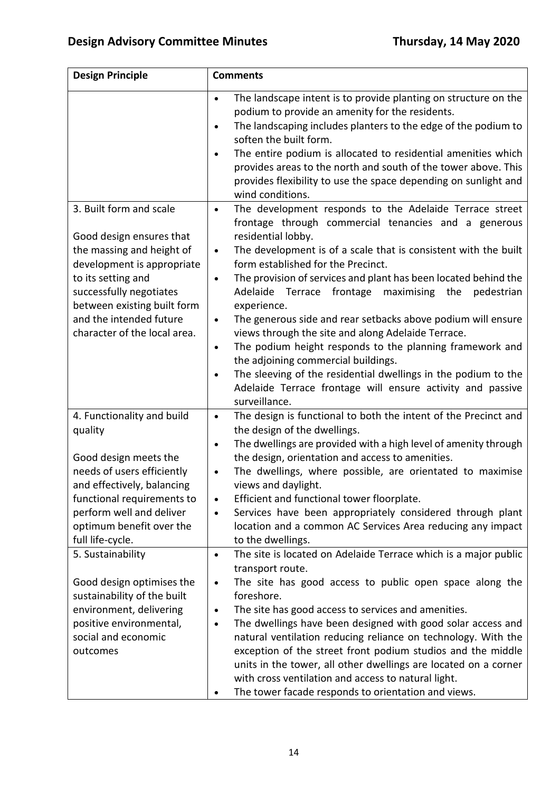| <b>Design Principle</b>                                                                                                                                                                                                              | <b>Comments</b>                                                                                                                                                                                                                                                                                                                                                                                                                                                                                                                                                                                                                                                                                                                                                                  |  |
|--------------------------------------------------------------------------------------------------------------------------------------------------------------------------------------------------------------------------------------|----------------------------------------------------------------------------------------------------------------------------------------------------------------------------------------------------------------------------------------------------------------------------------------------------------------------------------------------------------------------------------------------------------------------------------------------------------------------------------------------------------------------------------------------------------------------------------------------------------------------------------------------------------------------------------------------------------------------------------------------------------------------------------|--|
| 3. Built form and scale                                                                                                                                                                                                              | The landscape intent is to provide planting on structure on the<br>$\bullet$<br>podium to provide an amenity for the residents.<br>The landscaping includes planters to the edge of the podium to<br>$\bullet$<br>soften the built form.<br>The entire podium is allocated to residential amenities which<br>$\bullet$<br>provides areas to the north and south of the tower above. This<br>provides flexibility to use the space depending on sunlight and<br>wind conditions.<br>The development responds to the Adelaide Terrace street<br>$\bullet$                                                                                                                                                                                                                          |  |
| Good design ensures that<br>the massing and height of<br>development is appropriate<br>to its setting and<br>successfully negotiates<br>between existing built form<br>and the intended future<br>character of the local area.       | frontage through commercial tenancies and a generous<br>residential lobby.<br>The development is of a scale that is consistent with the built<br>$\bullet$<br>form established for the Precinct.<br>The provision of services and plant has been located behind the<br>$\bullet$<br>frontage<br>Adelaide Terrace<br>maximising the<br>pedestrian<br>experience.<br>The generous side and rear setbacks above podium will ensure<br>$\bullet$<br>views through the site and along Adelaide Terrace.<br>The podium height responds to the planning framework and<br>$\bullet$<br>the adjoining commercial buildings.<br>The sleeving of the residential dwellings in the podium to the<br>$\bullet$<br>Adelaide Terrace frontage will ensure activity and passive<br>surveillance. |  |
| 4. Functionality and build<br>quality<br>Good design meets the<br>needs of users efficiently<br>and effectively, balancing<br>functional requirements to<br>perform well and deliver<br>optimum benefit over the<br>full life-cycle. | The design is functional to both the intent of the Precinct and<br>$\bullet$<br>the design of the dwellings.<br>The dwellings are provided with a high level of amenity through<br>$\bullet$<br>the design, orientation and access to amenities.<br>The dwellings, where possible, are orientated to maximise<br>$\bullet$<br>views and daylight.<br>Efficient and functional tower floorplate.<br>Services have been appropriately considered through plant<br>$\bullet$<br>location and a common AC Services Area reducing any impact<br>to the dwellings.                                                                                                                                                                                                                     |  |
| 5. Sustainability<br>Good design optimises the<br>sustainability of the built<br>environment, delivering<br>positive environmental,<br>social and economic<br>outcomes                                                               | The site is located on Adelaide Terrace which is a major public<br>$\bullet$<br>transport route.<br>The site has good access to public open space along the<br>$\bullet$<br>foreshore.<br>The site has good access to services and amenities.<br>$\bullet$<br>The dwellings have been designed with good solar access and<br>$\bullet$<br>natural ventilation reducing reliance on technology. With the<br>exception of the street front podium studios and the middle<br>units in the tower, all other dwellings are located on a corner<br>with cross ventilation and access to natural light.<br>The tower facade responds to orientation and views.                                                                                                                          |  |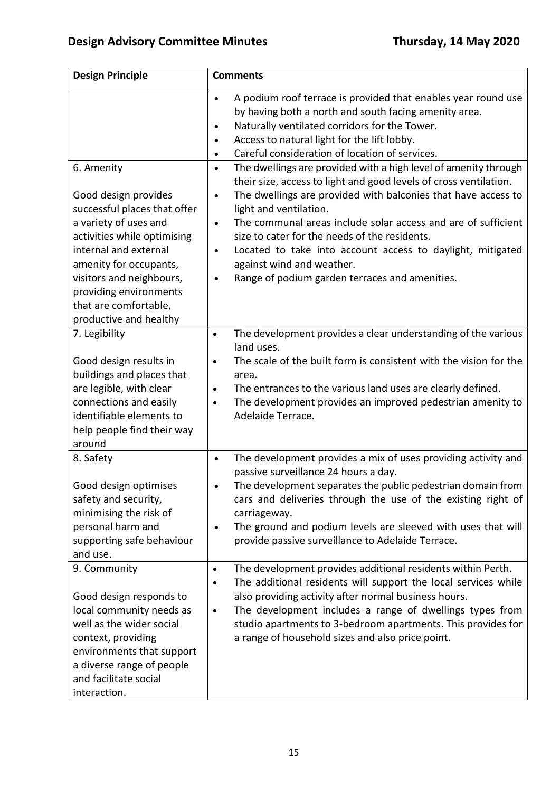| <b>Design Principle</b>                                                                                                                                                                                                                                                                | <b>Comments</b>                                                                                                                                                                                                                                                                                                                                                                                                                                                                                                                                                 |
|----------------------------------------------------------------------------------------------------------------------------------------------------------------------------------------------------------------------------------------------------------------------------------------|-----------------------------------------------------------------------------------------------------------------------------------------------------------------------------------------------------------------------------------------------------------------------------------------------------------------------------------------------------------------------------------------------------------------------------------------------------------------------------------------------------------------------------------------------------------------|
|                                                                                                                                                                                                                                                                                        | A podium roof terrace is provided that enables year round use<br>$\bullet$<br>by having both a north and south facing amenity area.<br>Naturally ventilated corridors for the Tower.<br>$\bullet$<br>Access to natural light for the lift lobby.<br>$\bullet$<br>Careful consideration of location of services.                                                                                                                                                                                                                                                 |
| 6. Amenity<br>Good design provides<br>successful places that offer<br>a variety of uses and<br>activities while optimising<br>internal and external<br>amenity for occupants,<br>visitors and neighbours,<br>providing environments<br>that are comfortable,<br>productive and healthy | The dwellings are provided with a high level of amenity through<br>$\bullet$<br>their size, access to light and good levels of cross ventilation.<br>The dwellings are provided with balconies that have access to<br>$\bullet$<br>light and ventilation.<br>The communal areas include solar access and are of sufficient<br>$\bullet$<br>size to cater for the needs of the residents.<br>Located to take into account access to daylight, mitigated<br>$\bullet$<br>against wind and weather.<br>Range of podium garden terraces and amenities.<br>$\bullet$ |
| 7. Legibility<br>Good design results in<br>buildings and places that<br>are legible, with clear<br>connections and easily<br>identifiable elements to<br>help people find their way<br>around                                                                                          | The development provides a clear understanding of the various<br>$\bullet$<br>land uses.<br>The scale of the built form is consistent with the vision for the<br>area.<br>The entrances to the various land uses are clearly defined.<br>$\bullet$<br>The development provides an improved pedestrian amenity to<br>$\bullet$<br>Adelaide Terrace.                                                                                                                                                                                                              |
| 8. Safety<br>Good design optimises<br>safety and security,<br>minimising the risk of<br>personal harm and<br>supporting safe behaviour<br>and use.                                                                                                                                     | The development provides a mix of uses providing activity and<br>$\bullet$<br>passive surveillance 24 hours a day.<br>The development separates the public pedestrian domain from<br>cars and deliveries through the use of the existing right of<br>carriageway.<br>The ground and podium levels are sleeved with uses that will<br>$\bullet$<br>provide passive surveillance to Adelaide Terrace.                                                                                                                                                             |
| 9. Community<br>Good design responds to<br>local community needs as<br>well as the wider social<br>context, providing<br>environments that support<br>a diverse range of people<br>and facilitate social<br>interaction.                                                               | The development provides additional residents within Perth.<br>$\bullet$<br>The additional residents will support the local services while<br>$\bullet$<br>also providing activity after normal business hours.<br>The development includes a range of dwellings types from<br>$\bullet$<br>studio apartments to 3-bedroom apartments. This provides for<br>a range of household sizes and also price point.                                                                                                                                                    |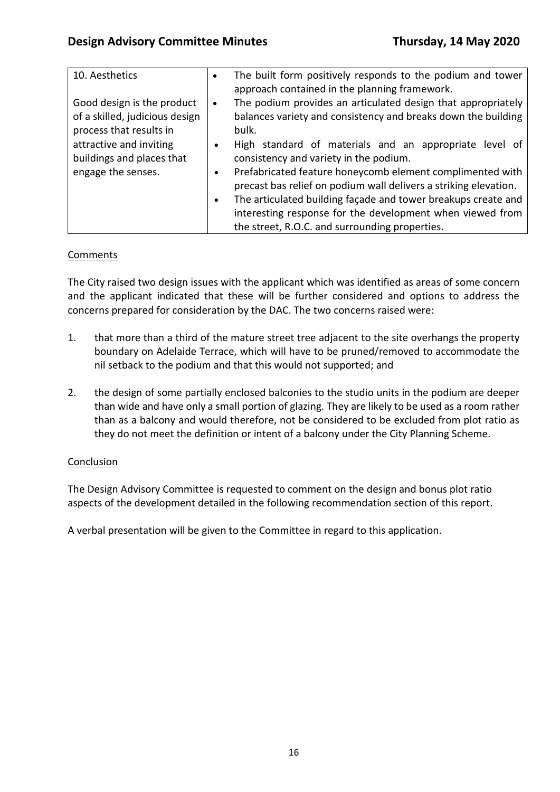| 10. Aesthetics                                                                                                                                                        | $\bullet$              | The built form positively responds to the podium and tower<br>approach contained in the planning framework.                                                                                                                                                                                                                                                                                                                                                                                               |
|-----------------------------------------------------------------------------------------------------------------------------------------------------------------------|------------------------|-----------------------------------------------------------------------------------------------------------------------------------------------------------------------------------------------------------------------------------------------------------------------------------------------------------------------------------------------------------------------------------------------------------------------------------------------------------------------------------------------------------|
| Good design is the product<br>of a skilled, judicious design<br>process that results in<br>attractive and inviting<br>buildings and places that<br>engage the senses. | $\bullet$<br>$\bullet$ | The podium provides an articulated design that appropriately<br>balances variety and consistency and breaks down the building<br>bulk.<br>High standard of materials and an appropriate level of<br>consistency and variety in the podium.<br>Prefabricated feature honeycomb element complimented with<br>precast bas relief on podium wall delivers a striking elevation.<br>The articulated building façade and tower breakups create and<br>interesting response for the development when viewed from |
|                                                                                                                                                                       |                        | the street, R.O.C. and surrounding properties.                                                                                                                                                                                                                                                                                                                                                                                                                                                            |

## **Comments**

The City raised two design issues with the applicant which was identified as areas of some concern and the applicant indicated that these will be further considered and options to address the concerns prepared for consideration by the DAC. The two concerns raised were:

- 1. that more than a third of the mature street tree adjacent to the site overhangs the property boundary on Adelaide Terrace, which will have to be pruned/removed to accommodate the nil setback to the podium and that this would not supported; and
- 2. the design of some partially enclosed balconies to the studio units in the podium are deeper than wide and have only a small portion of glazing. They are likely to be used as a room rather than as a balcony and would therefore, not be considered to be excluded from plot ratio as they do not meet the definition or intent of a balcony under the City Planning Scheme.

### Conclusion

The Design Advisory Committee is requested to comment on the design and bonus plot ratio aspects of the development detailed in the following recommendation section of this report.

A verbal presentation will be given to the Committee in regard to this application.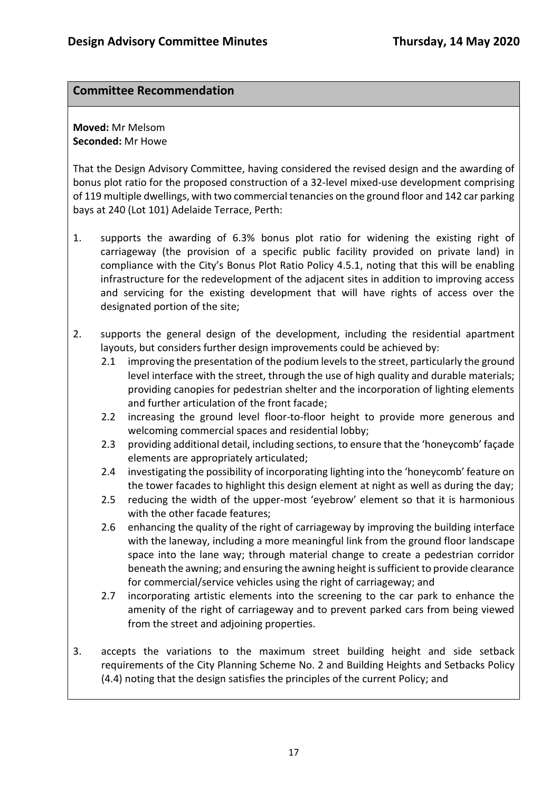## **Committee Recommendation**

**Moved:** Mr Melsom **Seconded:** Mr Howe

That the Design Advisory Committee, having considered the revised design and the awarding of bonus plot ratio for the proposed construction of a 32-level mixed-use development comprising of 119 multiple dwellings, with two commercial tenancies on the ground floor and 142 car parking bays at 240 (Lot 101) Adelaide Terrace, Perth:

- 1. supports the awarding of 6.3% bonus plot ratio for widening the existing right of carriageway (the provision of a specific public facility provided on private land) in compliance with the City's Bonus Plot Ratio Policy 4.5.1, noting that this will be enabling infrastructure for the redevelopment of the adjacent sites in addition to improving access and servicing for the existing development that will have rights of access over the designated portion of the site;
- 2. supports the general design of the development, including the residential apartment layouts, but considers further design improvements could be achieved by:
	- 2.1 improving the presentation of the podium levels to the street, particularly the ground level interface with the street, through the use of high quality and durable materials; providing canopies for pedestrian shelter and the incorporation of lighting elements and further articulation of the front facade;
	- 2.2 increasing the ground level floor-to-floor height to provide more generous and welcoming commercial spaces and residential lobby;
	- 2.3 providing additional detail, including sections, to ensure that the 'honeycomb' façade elements are appropriately articulated;
	- 2.4 investigating the possibility of incorporating lighting into the 'honeycomb' feature on the tower facades to highlight this design element at night as well as during the day;
	- 2.5 reducing the width of the upper-most 'eyebrow' element so that it is harmonious with the other facade features;
	- 2.6 enhancing the quality of the right of carriageway by improving the building interface with the laneway, including a more meaningful link from the ground floor landscape space into the lane way; through material change to create a pedestrian corridor beneath the awning; and ensuring the awning height is sufficient to provide clearance for commercial/service vehicles using the right of carriageway; and
	- 2.7 incorporating artistic elements into the screening to the car park to enhance the amenity of the right of carriageway and to prevent parked cars from being viewed from the street and adjoining properties.
- 3. accepts the variations to the maximum street building height and side setback requirements of the City Planning Scheme No. 2 and Building Heights and Setbacks Policy (4.4) noting that the design satisfies the principles of the current Policy; and